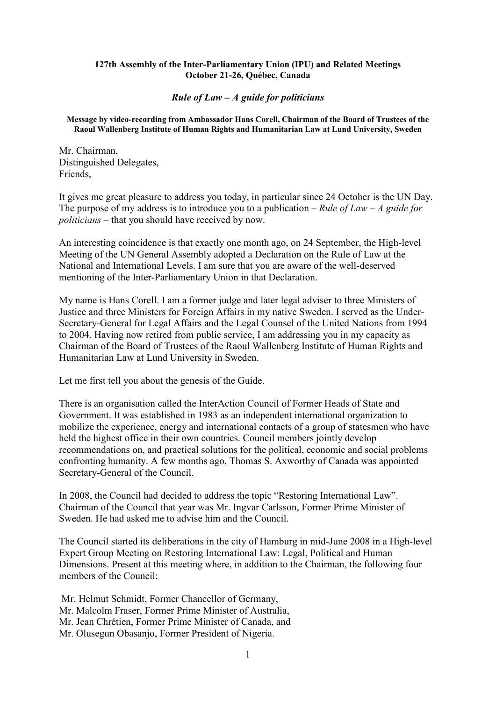## **127th Assembly of the Inter-Parliamentary Union (IPU) and Related Meetings October 21-26, Québec, Canada**

## *Rule of Law – A guide for politicians*

## **Message by video-recording from Ambassador Hans Corell, Chairman of the Board of Trustees of the Raoul Wallenberg Institute of Human Rights and Humanitarian Law at Lund University, Sweden**

Mr. Chairman, Distinguished Delegates, Friends,

It gives me great pleasure to address you today, in particular since 24 October is the UN Day. The purpose of my address is to introduce you to a publication – *Rule of Law – A guide for politicians* – that you should have received by now.

An interesting coincidence is that exactly one month ago, on 24 September, the High-level Meeting of the UN General Assembly adopted a Declaration on the Rule of Law at the National and International Levels. I am sure that you are aware of the well-deserved mentioning of the Inter-Parliamentary Union in that Declaration.

My name is Hans Corell. I am a former judge and later legal adviser to three Ministers of Justice and three Ministers for Foreign Affairs in my native Sweden. I served as the Under-Secretary-General for Legal Affairs and the Legal Counsel of the United Nations from 1994 to 2004. Having now retired from public service, I am addressing you in my capacity as Chairman of the Board of Trustees of the Raoul Wallenberg Institute of Human Rights and Humanitarian Law at Lund University in Sweden.

Let me first tell you about the genesis of the Guide.

There is an organisation called the InterAction Council of Former Heads of State and Government. It was established in 1983 as an independent international organization to mobilize the experience, energy and international contacts of a group of statesmen who have held the highest office in their own countries. Council members jointly develop recommendations on, and practical solutions for the political, economic and social problems confronting humanity. A few months ago, Thomas S. Axworthy of Canada was appointed Secretary-General of the Council.

In 2008, the Council had decided to address the topic "Restoring International Law". Chairman of the Council that year was Mr. Ingvar Carlsson, Former Prime Minister of Sweden. He had asked me to advise him and the Council.

The Council started its deliberations in the city of Hamburg in mid-June 2008 in a High-level Expert Group Meeting on Restoring International Law: Legal, Political and Human Dimensions. Present at this meeting where, in addition to the Chairman, the following four members of the Council:

 Mr. Helmut Schmidt, Former Chancellor of Germany, Mr. Malcolm Fraser, Former Prime Minister of Australia, Mr. Jean Chrétien, Former Prime Minister of Canada, and Mr. Olusegun Obasanjo, Former President of Nigeria.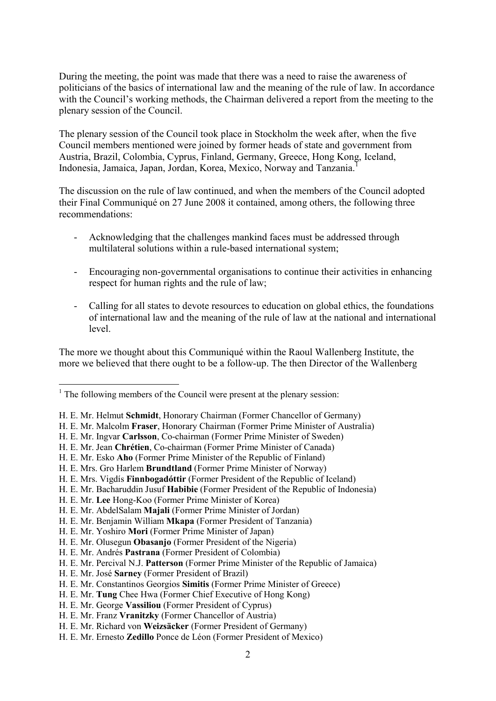During the meeting, the point was made that there was a need to raise the awareness of politicians of the basics of international law and the meaning of the rule of law. In accordance with the Council's working methods, the Chairman delivered a report from the meeting to the plenary session of the Council.

The plenary session of the Council took place in Stockholm the week after, when the five Council members mentioned were joined by former heads of state and government from Austria, Brazil, Colombia, Cyprus, Finland, Germany, Greece, Hong Kong, Iceland, Indonesia, Jamaica, Japan, Jordan, Korea, Mexico, Norway and Tanzania.<sup>1</sup>

The discussion on the rule of law continued, and when the members of the Council adopted their Final Communiqué on 27 June 2008 it contained, among others, the following three recommendations:

- Acknowledging that the challenges mankind faces must be addressed through multilateral solutions within a rule-based international system;
- Encouraging non-governmental organisations to continue their activities in enhancing respect for human rights and the rule of law;
- Calling for all states to devote resources to education on global ethics, the foundations of international law and the meaning of the rule of law at the national and international level.

The more we thought about this Communiqué within the Raoul Wallenberg Institute, the more we believed that there ought to be a follow-up. The then Director of the Wallenberg

 $\overline{a}$ 

<sup>&</sup>lt;sup>1</sup> The following members of the Council were present at the plenary session:

H. E. Mr. Helmut **Schmidt**, Honorary Chairman (Former Chancellor of Germany)

H. E. Mr. Malcolm **Fraser**, Honorary Chairman (Former Prime Minister of Australia)

H. E. Mr. Ingvar **Carlsson**, Co-chairman (Former Prime Minister of Sweden)

H. E. Mr. Jean **Chrétien**, Co-chairman (Former Prime Minister of Canada)

H. E. Mr. Esko **Aho** (Former Prime Minister of the Republic of Finland)

H. E. Mrs. Gro Harlem **Brundtland** (Former Prime Minister of Norway)

H. E. Mrs. Vigdís **Finnbogadóttir** (Former President of the Republic of Iceland)

H. E. Mr. Bacharuddin Jusuf **Habibie** (Former President of the Republic of Indonesia)

H. E. Mr. **Lee** Hong-Koo (Former Prime Minister of Korea)

H. E. Mr. AbdelSalam **Majali** (Former Prime Minister of Jordan)

H. E. Mr. Benjamin William **Mkapa** (Former President of Tanzania)

H. E. Mr. Yoshiro **Mori** (Former Prime Minister of Japan)

H. E. Mr. Olusegun **Obasanjo** (Former President of the Nigeria)

H. E. Mr. Andrés **Pastrana** (Former President of Colombia)

H. E. Mr. Percival N.J. **Patterson** (Former Prime Minister of the Republic of Jamaica)

H. E. Mr. José **Sarney** (Former President of Brazil)

H. E. Mr. Constantinos Georgios **Simitis** (Former Prime Minister of Greece)

H. E. Mr. **Tung** Chee Hwa (Former Chief Executive of Hong Kong)

H. E. Mr. George **Vassiliou** (Former President of Cyprus)

H. E. Mr. Franz **Vranitzky** (Former Chancellor of Austria)

H. E. Mr. Richard von **Weizsäcker** (Former President of Germany)

H. E. Mr. Ernesto **Zedillo** Ponce de Léon (Former President of Mexico)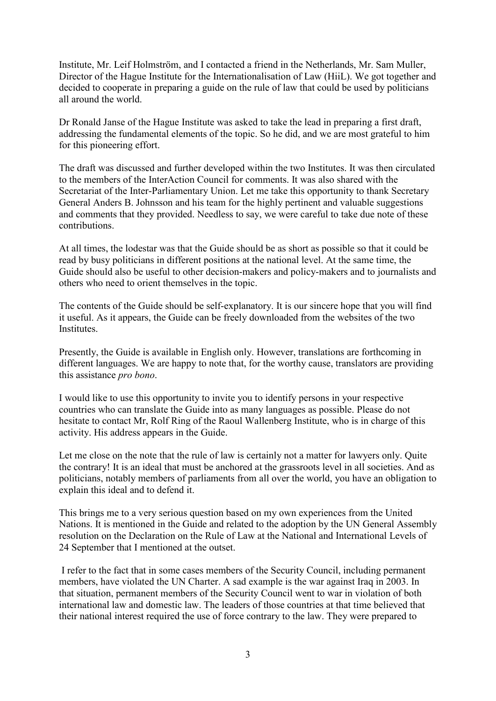Institute, Mr. Leif Holmström, and I contacted a friend in the Netherlands, Mr. Sam Muller, Director of the Hague Institute for the Internationalisation of Law (HiiL). We got together and decided to cooperate in preparing a guide on the rule of law that could be used by politicians all around the world.

Dr Ronald Janse of the Hague Institute was asked to take the lead in preparing a first draft, addressing the fundamental elements of the topic. So he did, and we are most grateful to him for this pioneering effort.

The draft was discussed and further developed within the two Institutes. It was then circulated to the members of the InterAction Council for comments. It was also shared with the Secretariat of the Inter-Parliamentary Union. Let me take this opportunity to thank Secretary General Anders B. Johnsson and his team for the highly pertinent and valuable suggestions and comments that they provided. Needless to say, we were careful to take due note of these contributions.

At all times, the lodestar was that the Guide should be as short as possible so that it could be read by busy politicians in different positions at the national level. At the same time, the Guide should also be useful to other decision-makers and policy-makers and to journalists and others who need to orient themselves in the topic.

The contents of the Guide should be self-explanatory. It is our sincere hope that you will find it useful. As it appears, the Guide can be freely downloaded from the websites of the two Institutes.

Presently, the Guide is available in English only. However, translations are forthcoming in different languages. We are happy to note that, for the worthy cause, translators are providing this assistance *pro bono*.

I would like to use this opportunity to invite you to identify persons in your respective countries who can translate the Guide into as many languages as possible. Please do not hesitate to contact Mr, Rolf Ring of the Raoul Wallenberg Institute, who is in charge of this activity. His address appears in the Guide.

Let me close on the note that the rule of law is certainly not a matter for lawyers only. Quite the contrary! It is an ideal that must be anchored at the grassroots level in all societies. And as politicians, notably members of parliaments from all over the world, you have an obligation to explain this ideal and to defend it.

This brings me to a very serious question based on my own experiences from the United Nations. It is mentioned in the Guide and related to the adoption by the UN General Assembly resolution on the Declaration on the Rule of Law at the National and International Levels of 24 September that I mentioned at the outset.

 I refer to the fact that in some cases members of the Security Council, including permanent members, have violated the UN Charter. A sad example is the war against Iraq in 2003. In that situation, permanent members of the Security Council went to war in violation of both international law and domestic law. The leaders of those countries at that time believed that their national interest required the use of force contrary to the law. They were prepared to